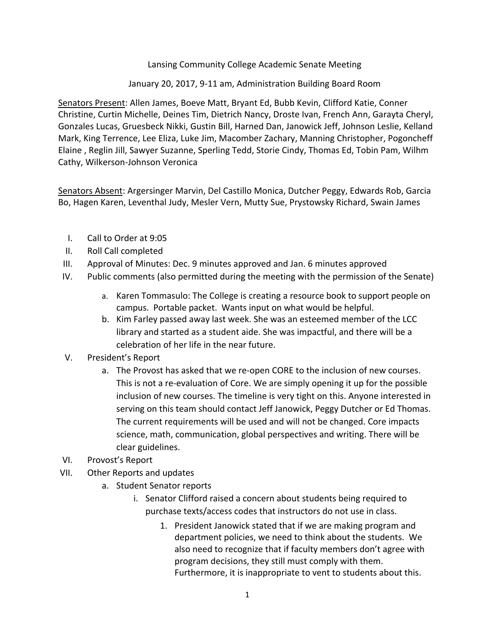Lansing Community College Academic Senate Meeting

January 20, 2017, 9-11 am, Administration Building Board Room

Senators Present: Allen James, Boeve Matt, Bryant Ed, Bubb Kevin, Clifford Katie, Conner Christine, Curtin Michelle, Deines Tim, Dietrich Nancy, Droste Ivan, French Ann, Garayta Cheryl, Gonzales Lucas, Gruesbeck Nikki, Gustin Bill, Harned Dan, Janowick Jeff, Johnson Leslie, Kelland Mark, King Terrence, Lee Eliza, Luke Jim, Macomber Zachary, Manning Christopher, Pogoncheff Elaine, Reglin Jill, Sawyer Suzanne, Sperling Tedd, Storie Cindy, Thomas Ed, Tobin Pam, Wilhm Cathy, Wilkerson-Johnson Veronica

Senators Absent: Argersinger Marvin, Del Castillo Monica, Dutcher Peggy, Edwards Rob, Garcia Bo, Hagen Karen, Leventhal Judy, Mesler Vern, Mutty Sue, Prystowsky Richard, Swain James

- I. Call to Order at 9:05
- II. Roll Call completed
- III. Approval of Minutes: Dec. 9 minutes approved and Jan. 6 minutes approved
- IV. Public comments (also permitted during the meeting with the permission of the Senate)
	- a. Karen Tommasulo: The College is creating a resource book to support people on campus. Portable packet. Wants input on what would be helpful.
	- b. Kim Farley passed away last week. She was an esteemed member of the LCC library and started as a student aide. She was impactful, and there will be a celebration of her life in the near future.
- V. President's Report
	- a. The Provost has asked that we re-open CORE to the inclusion of new courses. This is not a re-evaluation of Core. We are simply opening it up for the possible inclusion of new courses. The timeline is very tight on this. Anyone interested in serving on this team should contact Jeff Janowick, Peggy Dutcher or Ed Thomas. The current requirements will be used and will not be changed. Core impacts science, math, communication, global perspectives and writing. There will be clear guidelines.
- VI. Provost's Report
- VII. Other Reports and updates
	- a. Student Senator reports
		- i. Senator Clifford raised a concern about students being required to purchase texts/access codes that instructors do not use in class.
			- 1. President Janowick stated that if we are making program and department policies, we need to think about the students. We also need to recognize that if faculty members don't agree with program decisions, they still must comply with them. Furthermore, it is inappropriate to vent to students about this.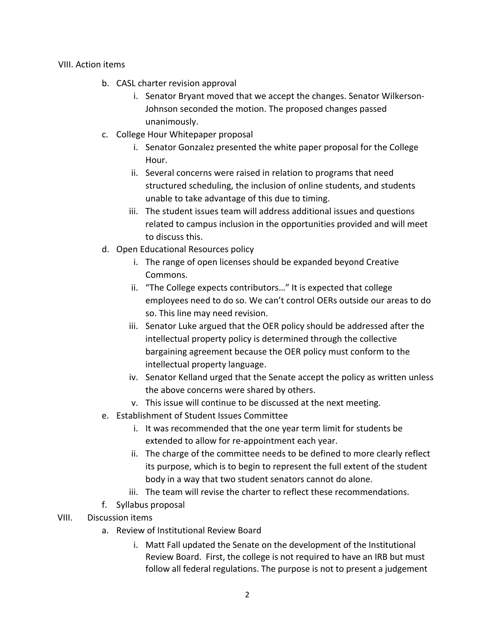VIII. Action items 

- b. CASL charter revision approval
	- i. Senator Bryant moved that we accept the changes. Senator Wilkerson-Johnson seconded the motion. The proposed changes passed unanimously.
- c. College Hour Whitepaper proposal
	- i. Senator Gonzalez presented the white paper proposal for the College Hour.
	- ii. Several concerns were raised in relation to programs that need structured scheduling, the inclusion of online students, and students unable to take advantage of this due to timing.
	- iii. The student issues team will address additional issues and questions related to campus inclusion in the opportunities provided and will meet to discuss this.
- d. Open Educational Resources policy
	- i. The range of open licenses should be expanded beyond Creative Commons.
	- ii. "The College expects contributors..." It is expected that college employees need to do so. We can't control OERs outside our areas to do so. This line may need revision.
	- iii. Senator Luke argued that the OER policy should be addressed after the intellectual property policy is determined through the collective bargaining agreement because the OER policy must conform to the intellectual property language.
	- iv. Senator Kelland urged that the Senate accept the policy as written unless the above concerns were shared by others.
	- v. This issue will continue to be discussed at the next meeting.
- e. Establishment of Student Issues Committee
	- i. It was recommended that the one year term limit for students be extended to allow for re-appointment each year.
	- ii. The charge of the committee needs to be defined to more clearly reflect its purpose, which is to begin to represent the full extent of the student body in a way that two student senators cannot do alone.
	- iii. The team will revise the charter to reflect these recommendations.
- f. Syllabus proposal
- VIII. Discussion items
	- a. Review of Institutional Review Board
		- i. Matt Fall updated the Senate on the development of the Institutional Review Board. First, the college is not required to have an IRB but must follow all federal regulations. The purpose is not to present a judgement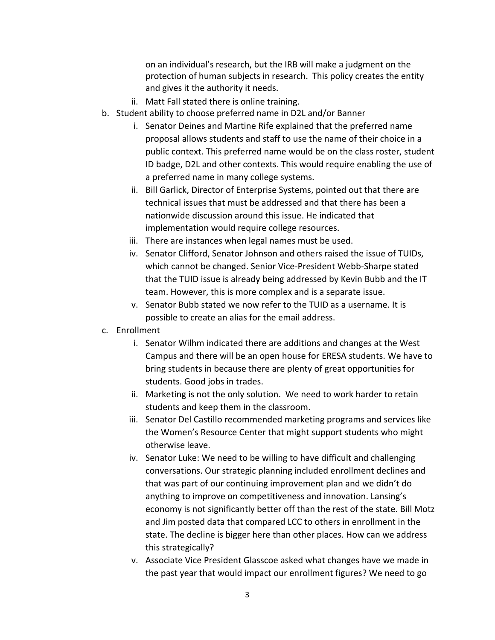on an individual's research, but the IRB will make a judgment on the protection of human subjects in research. This policy creates the entity and gives it the authority it needs.

- ii. Matt Fall stated there is online training.
- b. Student ability to choose preferred name in D2L and/or Banner
	- i. Senator Deines and Martine Rife explained that the preferred name proposal allows students and staff to use the name of their choice in a public context. This preferred name would be on the class roster, student ID badge, D2L and other contexts. This would require enabling the use of a preferred name in many college systems.
	- ii. Bill Garlick, Director of Enterprise Systems, pointed out that there are technical issues that must be addressed and that there has been a nationwide discussion around this issue. He indicated that implementation would require college resources.
	- iii. There are instances when legal names must be used.
	- iv. Senator Clifford, Senator Johnson and others raised the issue of TUIDs, which cannot be changed. Senior Vice-President Webb-Sharpe stated that the TUID issue is already being addressed by Kevin Bubb and the IT team. However, this is more complex and is a separate issue.
	- v. Senator Bubb stated we now refer to the TUID as a username. It is possible to create an alias for the email address.
- c. Enrollment
	- i. Senator Wilhm indicated there are additions and changes at the West Campus and there will be an open house for ERESA students. We have to bring students in because there are plenty of great opportunities for students. Good jobs in trades.
	- ii. Marketing is not the only solution. We need to work harder to retain students and keep them in the classroom.
	- iii. Senator Del Castillo recommended marketing programs and services like the Women's Resource Center that might support students who might otherwise leave.
	- iv. Senator Luke: We need to be willing to have difficult and challenging conversations. Our strategic planning included enrollment declines and that was part of our continuing improvement plan and we didn't do anything to improve on competitiveness and innovation. Lansing's economy is not significantly better off than the rest of the state. Bill Motz and Jim posted data that compared LCC to others in enrollment in the state. The decline is bigger here than other places. How can we address this strategically?
	- v. Associate Vice President Glasscoe asked what changes have we made in the past year that would impact our enrollment figures? We need to go